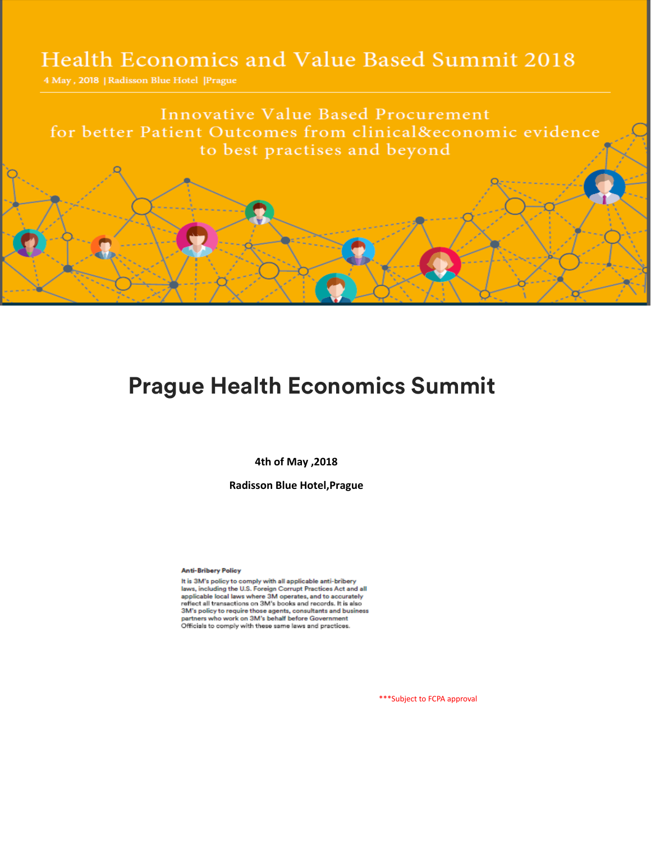## Health Economics and Value Based Summit 2018

4 May, 2018 | Radisson Blue Hotel | Prague

**Innovative Value Based Procurement** for better Patient Outcomes from clinical&economic evidence to best practises and beyond

## **Prague Health Economics Summit**

**4th of May ,2018**

**Radisson Blue Hotel,Prague** 

**Anti-Bribery Policy** 

It is 3M's policy to comply with all applicable anti-bribery laws, including the U.S. Foreign Corrupt Practices Act and all applicable local laws where 3M operates, and to accurately<br>reflect all transactions on 3M's books and records. It is also 3M's policy to require those agents, consultants and business partners who work on 3M's behalf before Government<br>Officials to comply with these same laws and practices.

\*\*\*Subject to FCPA approval